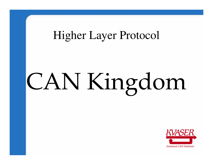#### Higher Layer Protocol

# CAN Kingdom

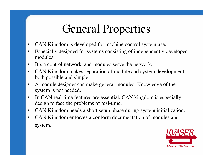#### General Properties

- •CAN Kingdom is developed for machine control system use.
- • Especially designed for systems consisting of independently developed modules.
- •It's a control network, and modules serve the network.
- • CAN Kingdom makes separation of module and system development both possible and simple.
- • A module designer can make general modules. Knowledge of the system is not needed.
- • In CAN real-time features are essential. CAN kingdom is especially design to face the problems of real-time.
- $\bullet$ CAN Kingdom needs a short setup phase during system initialization.
- • CAN Kingdom enforces a conform documentation of modules and system.

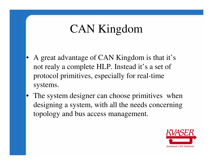# CAN Kingdom

- • A great advantage of CAN Kingdom is that it's not realy a complete HLP. Instead it's a set of protocol primitives, especially for real-time systems.
- •The system designer can choose primitives when designing a system, with all the needs concerning topology and bus access management.

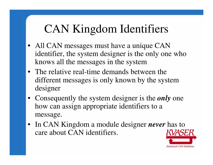# CAN Kingdom Identifiers

- All CAN messages must have a unique CAN identifier, the system designer is the only one whoknows all the messages in the system
- The relative real-time demands between the different messages is only known by the system designer
- Consequently the system designer is the *only* one how can assign appropriate identifiers to a message.
- In CAN Kingdom a module designer *never* has to care about CAN identifiers.

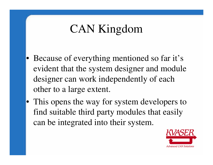# CAN Kingdom

- Because of everything mentioned so far it's evident that the system designer and module designer can work independently of each other to a large extent.
- This opens the way for system developers to find suitable third party modules that easily can be integrated into their system.

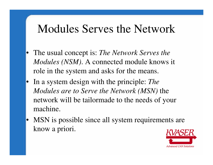#### Modules Serves the Network

- • The usual concept is: *The Network Serves the Modules (NSM)*. A connected module knows it role in the system and asks for the means.
- In a system design with the principle: *The Modules are to Serve the Network (MSN)* the network will be tailormade to the needs of your machine.
- • MSN is possible since all system requirements are know a priori.

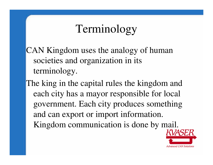#### Terminology

CAN Kingdom uses the analogy of human societies and organization in its terminology.

The king in the capital rules the kingdom and each city has a mayor responsible for local government. Each city produces something and can export or import information. Kingdom communication is done by mail.

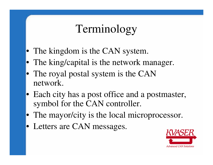#### Terminology

- The kingdom is the CAN system.
- The king/capital is the network manager.
- The royal postal system is the CAN network.
- Each city has a post office and a postmaster, symbol for the CAN controller.
- The mayor/city is the local microprocessor.
- Letters are CAN messages.

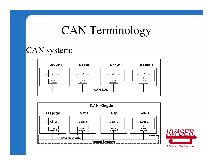#### CAN Terminology

#### CAN system:





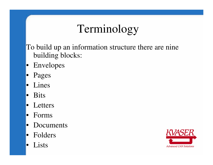# Terminology

To build up an information structure there are ninebuilding blocks:

- Envelopes
- Pages
- Lines
- •Bits
- Letters
- •Forms
- $\bullet$ Documents
- •Folders
- •Lists